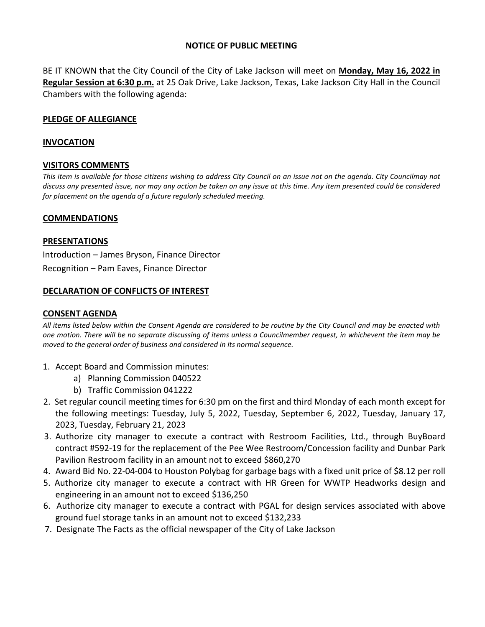# **NOTICE OF PUBLIC MEETING**

BE IT KNOWN that the City Council of the City of Lake Jackson will meet on **Monday, May 16, 2022 in Regular Session at 6:30 p.m.** at 25 Oak Drive, Lake Jackson, Texas, Lake Jackson City Hall in the Council Chambers with the following agenda:

# **PLEDGE OF ALLEGIANCE**

### **INVOCATION**

# **VISITORS COMMENTS**

*This item is available for those citizens wishing to address City Council on an issue not on the agenda. City Councilmay not discuss any presented issue, nor may any action be taken on any issue at this time. Any item presented could be considered for placement on the agenda of a future regularly scheduled meeting.*

#### **COMMENDATIONS**

#### **PRESENTATIONS**

 Introduction – James Bryson, Finance Director Recognition – Pam Eaves, Finance Director

# **DECLARATION OF CONFLICTS OF INTEREST**

### **CONSENT AGENDA**

*All items listed below within the Consent Agenda are considered to be routine by the City Council and may be enacted with one motion. There will be no separate discussing of items unless a Councilmember request, in whichevent the item may be moved to the general order of business and considered in its normal sequence.*

- 1. Accept Board and Commission minutes:
	- a) Planning Commission 040522
	- b) Traffic Commission 041222
- 2. Set regular council meeting times for 6:30 pm on the first and third Monday of each month except for the following meetings: Tuesday, July 5, 2022, Tuesday, September 6, 2022, Tuesday, January 17, 2023, Tuesday, February 21, 2023
- 3. Authorize city manager to execute a contract with Restroom Facilities, Ltd., through BuyBoard contract #592-19 for the replacement of the Pee Wee Restroom/Concession facility and Dunbar Park Pavilion Restroom facility in an amount not to exceed \$860,270
- 4. Award Bid No. 22-04-004 to Houston Polybag for garbage bags with a fixed unit price of \$8.12 per roll
- 5. Authorize city manager to execute a contract with HR Green for WWTP Headworks design and engineering in an amount not to exceed \$136,250
- 6. Authorize city manager to execute a contract with PGAL for design services associated with above ground fuel storage tanks in an amount not to exceed \$132,233
- 7. Designate The Facts as the official newspaper of the City of Lake Jackson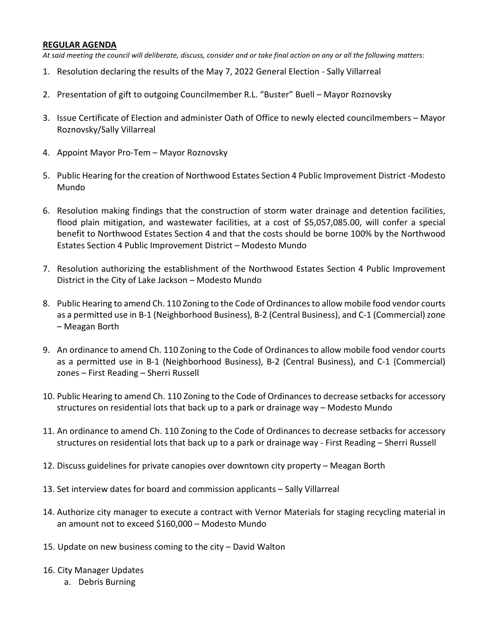# **REGULAR AGENDA**

*At said meeting the council will deliberate, discuss, consider and or take final action on any or all the following matters:*

- 1. Resolution declaring the results of the May 7, 2022 General Election Sally Villarreal
- 2. Presentation of gift to outgoing Councilmember R.L. "Buster" Buell Mayor Roznovsky
- 3. Issue Certificate of Election and administer Oath of Office to newly elected councilmembers Mayor Roznovsky/Sally Villarreal
- 4. Appoint Mayor Pro-Tem Mayor Roznovsky
- 5. Public Hearing for the creation of Northwood Estates Section 4 Public Improvement District -Modesto Mundo
- 6. Resolution making findings that the construction of storm water drainage and detention facilities, flood plain mitigation, and wastewater facilities, at a cost of \$5,057,085.00, will confer a special benefit to Northwood Estates Section 4 and that the costs should be borne 100% by the Northwood Estates Section 4 Public Improvement District – Modesto Mundo
- 7. Resolution authorizing the establishment of the Northwood Estates Section 4 Public Improvement District in the City of Lake Jackson – Modesto Mundo
- 8. Public Hearing to amend Ch. 110 Zoning to the Code of Ordinancesto allow mobile food vendor courts as a permitted use in B-1 (Neighborhood Business), B-2 (Central Business), and C-1 (Commercial) zone – Meagan Borth
- 9. An ordinance to amend Ch. 110 Zoning to the Code of Ordinances to allow mobile food vendor courts as a permitted use in B-1 (Neighborhood Business), B-2 (Central Business), and C-1 (Commercial) zones – First Reading – Sherri Russell
- 10. Public Hearing to amend Ch. 110 Zoning to the Code of Ordinances to decrease setbacks for accessory structures on residential lots that back up to a park or drainage way – Modesto Mundo
- 11. An ordinance to amend Ch. 110 Zoning to the Code of Ordinances to decrease setbacks for accessory structures on residential lots that back up to a park or drainage way - First Reading – Sherri Russell
- 12. Discuss guidelines for private canopies over downtown city property Meagan Borth
- 13. Set interview dates for board and commission applicants Sally Villarreal
- 14. Authorize city manager to execute a contract with Vernor Materials for staging recycling material in an amount not to exceed \$160,000 – Modesto Mundo
- 15. Update on new business coming to the city David Walton
- 16. City Manager Updates
	- a. Debris Burning